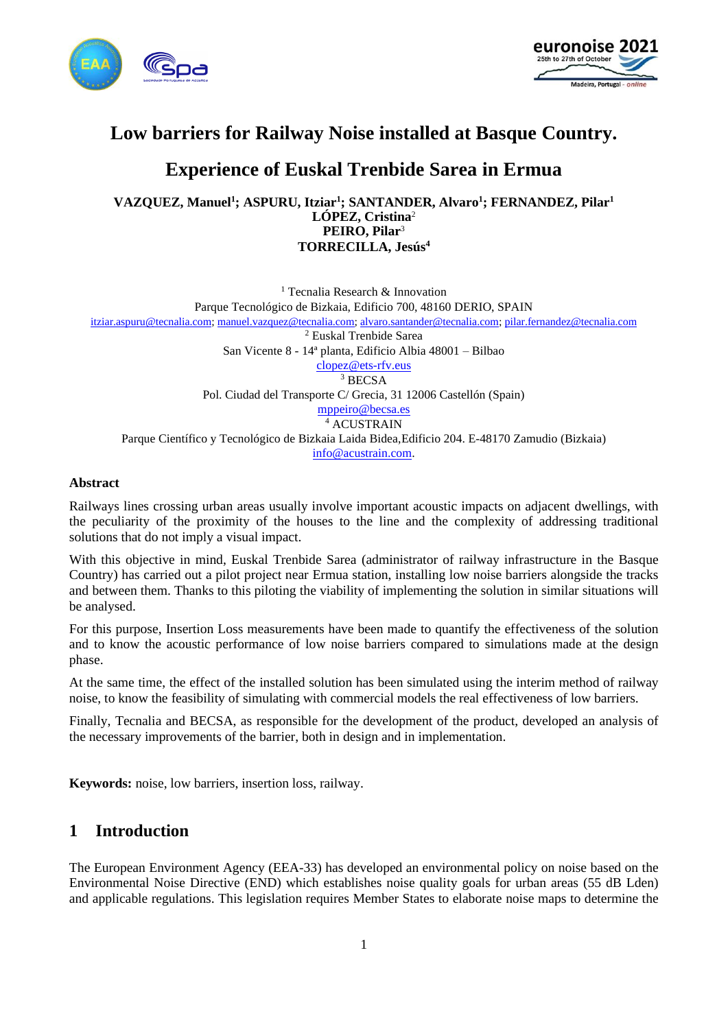



# **Low barriers for Railway Noise installed at Basque Country.**

# **Experience of Euskal Trenbide Sarea in Ermua**

**VAZQUEZ, Manuel<sup>1</sup> ; ASPURU, Itziar<sup>1</sup> ; SANTANDER, Alvaro<sup>1</sup> ; FERNANDEZ, Pilar<sup>1</sup> LÓPEZ, Cristina**<sup>2</sup> **PEIRO, Pilar**<sup>3</sup> **TORRECILLA, Jesús<sup>4</sup>**

<sup>1</sup> Tecnalia Research & Innovation Parque Tecnológico de Bizkaia, Edificio 700, 48160 DERIO, SPAIN [itziar.aspuru@tecnalia.com;](mailto:itziar.aspuru@tecnalia.com) [manuel.vazquez@tecnalia.com;](mailto:manuel.vazquez@tecnalia.com) [alvaro.santander@tecnalia.com;](mailto:alvaro.santander@tecnalia.com) [pilar.fernandez@tecnalia.com](mailto:pilar.fernandez@tecnalia.com) <sup>2</sup> Euskal Trenbide Sarea San Vicente 8 - 14ª planta, Edificio Albia 48001 – Bilbao [clopez@ets-rfv.eus](mailto:clopez@ets-rfv.eus) <sup>3</sup> BECSA Pol. Ciudad del Transporte C/ Grecia, 31 12006 Castellón (Spain) [mppeiro@becsa.es](mailto:mppeiro@becsa.es) <sup>4</sup> ACUSTRAIN Parque Científico y Tecnológico de Bizkaia Laida Bidea,Edificio 204. E-48170 Zamudio (Bizkaia) [info@acustrain.com.](mailto:info@acustrain.com)

#### **Abstract**

Railways lines crossing urban areas usually involve important acoustic impacts on adjacent dwellings, with the peculiarity of the proximity of the houses to the line and the complexity of addressing traditional solutions that do not imply a visual impact.

With this objective in mind, Euskal Trenbide Sarea (administrator of railway infrastructure in the Basque Country) has carried out a pilot project near Ermua station, installing low noise barriers alongside the tracks and between them. Thanks to this piloting the viability of implementing the solution in similar situations will be analysed.

For this purpose, Insertion Loss measurements have been made to quantify the effectiveness of the solution and to know the acoustic performance of low noise barriers compared to simulations made at the design phase.

At the same time, the effect of the installed solution has been simulated using the interim method of railway noise, to know the feasibility of simulating with commercial models the real effectiveness of low barriers.

Finally, Tecnalia and BECSA, as responsible for the development of the product, developed an analysis of the necessary improvements of the barrier, both in design and in implementation.

**Keywords:** noise, low barriers, insertion loss, railway.

## **1 Introduction**

The European Environment Agency (EEA-33) has developed an environmental policy on noise based on the Environmental Noise Directive (END) which establishes noise quality goals for urban areas (55 dB Lden) and applicable regulations. This legislation requires Member States to elaborate noise maps to determine the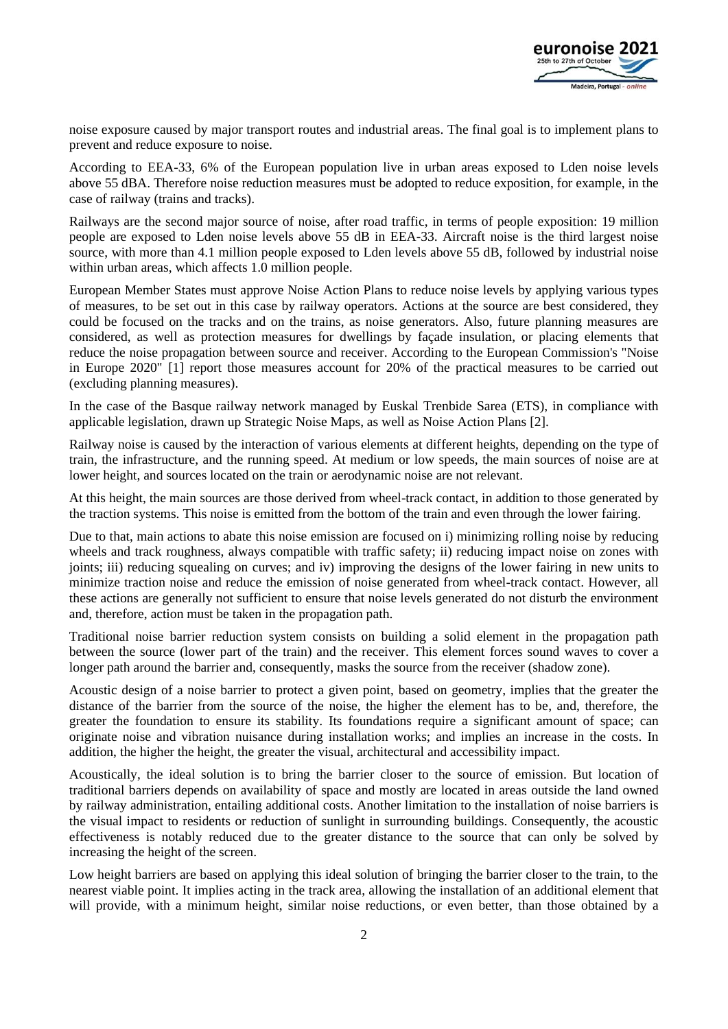

noise exposure caused by major transport routes and industrial areas. The final goal is to implement plans to prevent and reduce exposure to noise.

According to EEA-33, 6% of the European population live in urban areas exposed to Lden noise levels above 55 dBA. Therefore noise reduction measures must be adopted to reduce exposition, for example, in the case of railway (trains and tracks).

Railways are the second major source of noise, after road traffic, in terms of people exposition: 19 million people are exposed to Lden noise levels above 55 dB in EEA-33. Aircraft noise is the third largest noise source, with more than 4.1 million people exposed to Lden levels above 55 dB, followed by industrial noise within urban areas, which affects 1.0 million people.

European Member States must approve Noise Action Plans to reduce noise levels by applying various types of measures, to be set out in this case by railway operators. Actions at the source are best considered, they could be focused on the tracks and on the trains, as noise generators. Also, future planning measures are considered, as well as protection measures for dwellings by façade insulation, or placing elements that reduce the noise propagation between source and receiver. According to the European Commission's "Noise in Europe 2020" [1] report those measures account for 20% of the practical measures to be carried out (excluding planning measures).

In the case of the Basque railway network managed by Euskal Trenbide Sarea (ETS), in compliance with applicable legislation, drawn up Strategic Noise Maps, as well as Noise Action Plans [2].

Railway noise is caused by the interaction of various elements at different heights, depending on the type of train, the infrastructure, and the running speed. At medium or low speeds, the main sources of noise are at lower height, and sources located on the train or aerodynamic noise are not relevant.

At this height, the main sources are those derived from wheel-track contact, in addition to those generated by the traction systems. This noise is emitted from the bottom of the train and even through the lower fairing.

Due to that, main actions to abate this noise emission are focused on i) minimizing rolling noise by reducing wheels and track roughness, always compatible with traffic safety; ii) reducing impact noise on zones with joints; iii) reducing squealing on curves; and iv) improving the designs of the lower fairing in new units to minimize traction noise and reduce the emission of noise generated from wheel-track contact. However, all these actions are generally not sufficient to ensure that noise levels generated do not disturb the environment and, therefore, action must be taken in the propagation path.

Traditional noise barrier reduction system consists on building a solid element in the propagation path between the source (lower part of the train) and the receiver. This element forces sound waves to cover a longer path around the barrier and, consequently, masks the source from the receiver (shadow zone).

Acoustic design of a noise barrier to protect a given point, based on geometry, implies that the greater the distance of the barrier from the source of the noise, the higher the element has to be, and, therefore, the greater the foundation to ensure its stability. Its foundations require a significant amount of space; can originate noise and vibration nuisance during installation works; and implies an increase in the costs. In addition, the higher the height, the greater the visual, architectural and accessibility impact.

Acoustically, the ideal solution is to bring the barrier closer to the source of emission. But location of traditional barriers depends on availability of space and mostly are located in areas outside the land owned by railway administration, entailing additional costs. Another limitation to the installation of noise barriers is the visual impact to residents or reduction of sunlight in surrounding buildings. Consequently, the acoustic effectiveness is notably reduced due to the greater distance to the source that can only be solved by increasing the height of the screen.

Low height barriers are based on applying this ideal solution of bringing the barrier closer to the train, to the nearest viable point. It implies acting in the track area, allowing the installation of an additional element that will provide, with a minimum height, similar noise reductions, or even better, than those obtained by a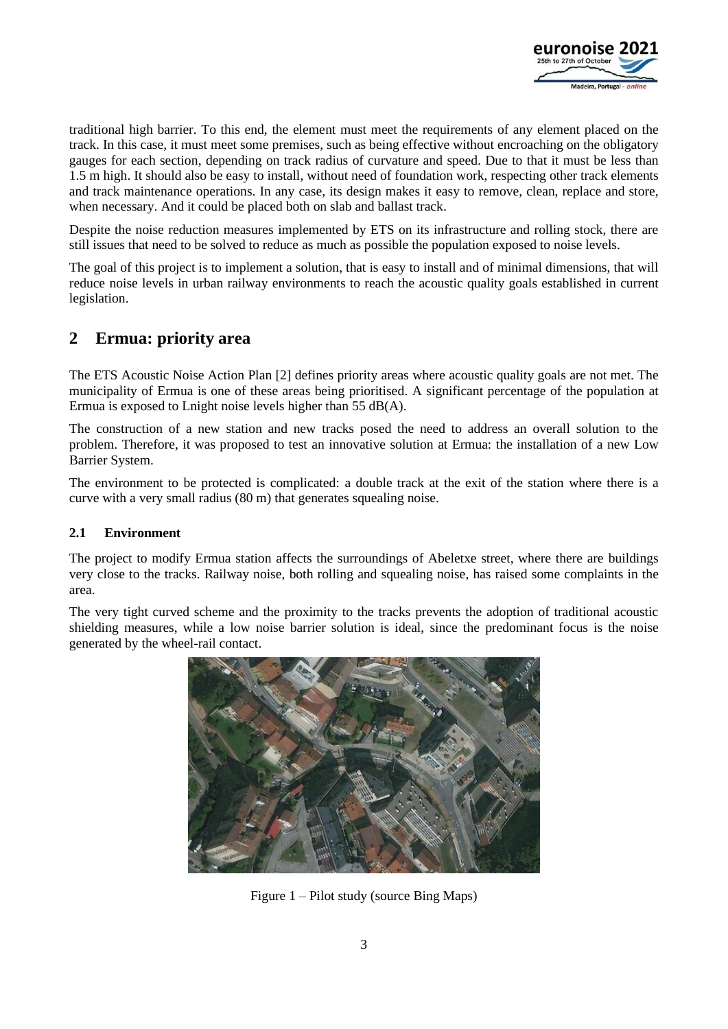

traditional high barrier. To this end, the element must meet the requirements of any element placed on the track. In this case, it must meet some premises, such as being effective without encroaching on the obligatory gauges for each section, depending on track radius of curvature and speed. Due to that it must be less than 1.5 m high. It should also be easy to install, without need of foundation work, respecting other track elements and track maintenance operations. In any case, its design makes it easy to remove, clean, replace and store, when necessary. And it could be placed both on slab and ballast track.

Despite the noise reduction measures implemented by ETS on its infrastructure and rolling stock, there are still issues that need to be solved to reduce as much as possible the population exposed to noise levels.

The goal of this project is to implement a solution, that is easy to install and of minimal dimensions, that will reduce noise levels in urban railway environments to reach the acoustic quality goals established in current legislation.

# **2 Ermua: priority area**

The ETS Acoustic Noise Action Plan [2] defines priority areas where acoustic quality goals are not met. The municipality of Ermua is one of these areas being prioritised. A significant percentage of the population at Ermua is exposed to Lnight noise levels higher than 55 dB(A).

The construction of a new station and new tracks posed the need to address an overall solution to the problem. Therefore, it was proposed to test an innovative solution at Ermua: the installation of a new Low Barrier System.

The environment to be protected is complicated: a double track at the exit of the station where there is a curve with a very small radius (80 m) that generates squealing noise.

## **2.1 Environment**

The project to modify Ermua station affects the surroundings of Abeletxe street, where there are buildings very close to the tracks. Railway noise, both rolling and squealing noise, has raised some complaints in the area.

The very tight curved scheme and the proximity to the tracks prevents the adoption of traditional acoustic shielding measures, while a low noise barrier solution is ideal, since the predominant focus is the noise generated by the wheel-rail contact.



Figure 1 – Pilot study (source Bing Maps)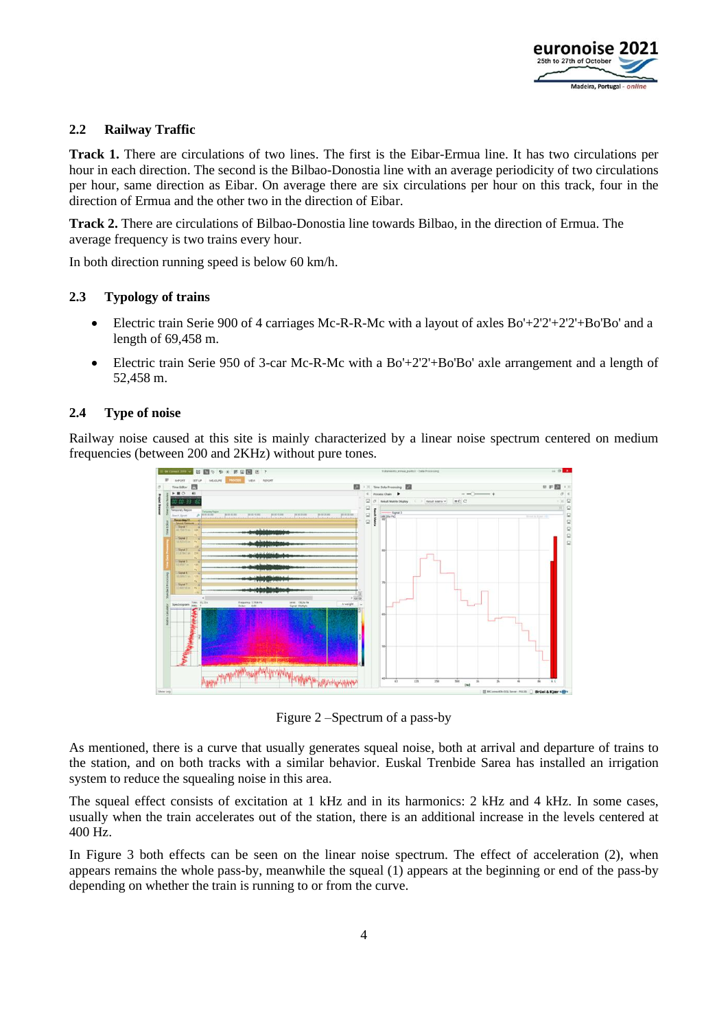

#### **2.2 Railway Traffic**

**Track 1.** There are circulations of two lines. The first is the Eibar-Ermua line. It has two circulations per hour in each direction. The second is the Bilbao-Donostia line with an average periodicity of two circulations per hour, same direction as Eibar. On average there are six circulations per hour on this track, four in the direction of Ermua and the other two in the direction of Eibar.

**Track 2.** There are circulations of Bilbao-Donostia line towards Bilbao, in the direction of Ermua. The average frequency is two trains every hour.

In both direction running speed is below 60 km/h.

#### **2.3 Typology of trains**

- Electric train Serie 900 of 4 carriages Mc-R-R-Mc with a layout of axles  $Bo'+2'2'+2'2'+Bo'Bo'$  and a length of 69,458 m.
- Electric train Serie 950 of 3-car Mc-R-Mc with a Bo'+2'2'+Bo'Bo' axle arrangement and a length of 52,458 m.

#### **2.4 Type of noise**

Railway noise caused at this site is mainly characterized by a linear noise spectrum centered on medium frequencies (between 200 and 2KHz) without pure tones.



Figure 2 –Spectrum of a pass-by

As mentioned, there is a curve that usually generates squeal noise, both at arrival and departure of trains to the station, and on both tracks with a similar behavior. Euskal Trenbide Sarea has installed an irrigation system to reduce the squealing noise in this area.

The squeal effect consists of excitation at 1 kHz and in its harmonics: 2 kHz and 4 kHz. In some cases, usually when the train accelerates out of the station, there is an additional increase in the levels centered at 400 Hz.

In Figure 3 both effects can be seen on the linear noise spectrum. The effect of acceleration (2), when appears remains the whole pass-by, meanwhile the squeal (1) appears at the beginning or end of the pass-by depending on whether the train is running to or from the curve.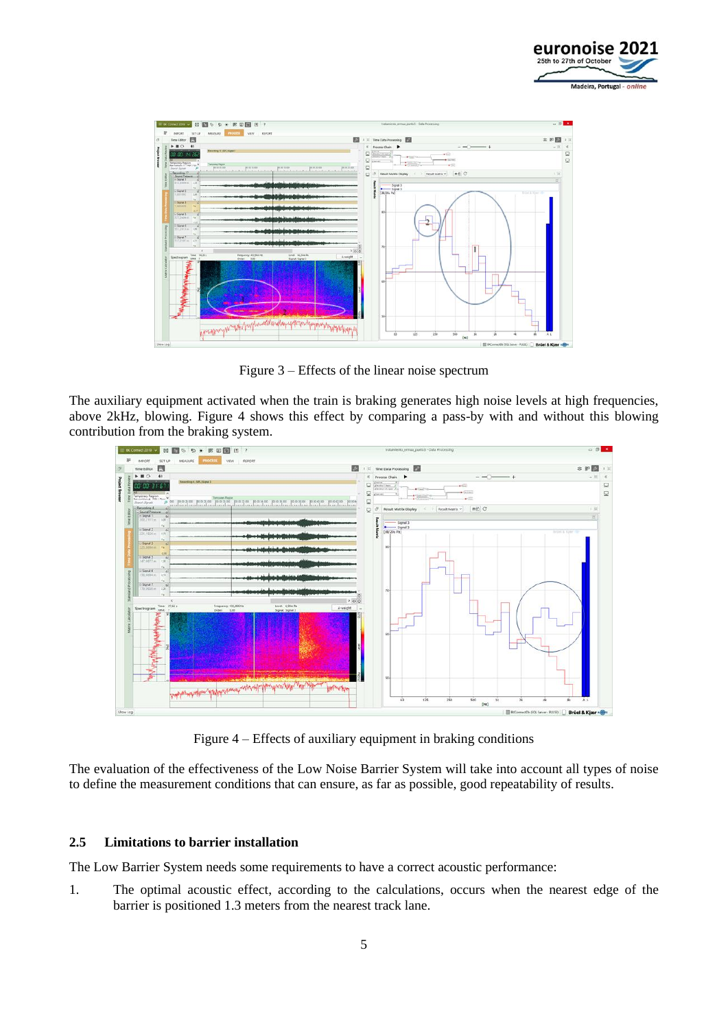



Figure 3 – Effects of the linear noise spectrum

The auxiliary equipment activated when the train is braking generates high noise levels at high frequencies, above 2kHz, blowing. Figure 4 shows this effect by comparing a pass-by with and without this blowing contribution from the braking system.



Figure 4 – Effects of auxiliary equipment in braking conditions

The evaluation of the effectiveness of the Low Noise Barrier System will take into account all types of noise to define the measurement conditions that can ensure, as far as possible, good repeatability of results.

#### **2.5 Limitations to barrier installation**

The Low Barrier System needs some requirements to have a correct acoustic performance:

1. The optimal acoustic effect, according to the calculations, occurs when the nearest edge of the barrier is positioned 1.3 meters from the nearest track lane.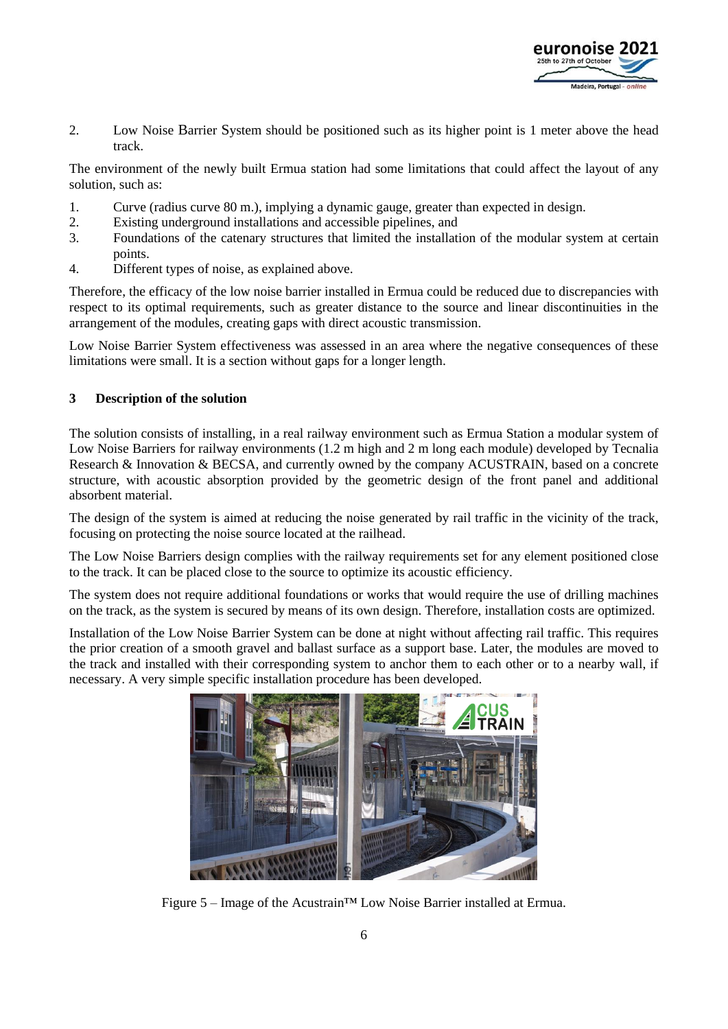

2. Low Noise Barrier System should be positioned such as its higher point is 1 meter above the head track.

The environment of the newly built Ermua station had some limitations that could affect the layout of any solution, such as:

- 1. Curve (radius curve 80 m.), implying a dynamic gauge, greater than expected in design.
- 2. Existing underground installations and accessible pipelines, and
- 3. Foundations of the catenary structures that limited the installation of the modular system at certain points.
- 4. Different types of noise, as explained above.

Therefore, the efficacy of the low noise barrier installed in Ermua could be reduced due to discrepancies with respect to its optimal requirements, such as greater distance to the source and linear discontinuities in the arrangement of the modules, creating gaps with direct acoustic transmission.

Low Noise Barrier System effectiveness was assessed in an area where the negative consequences of these limitations were small. It is a section without gaps for a longer length.

## **3 Description of the solution**

The solution consists of installing, in a real railway environment such as Ermua Station a modular system of Low Noise Barriers for railway environments (1.2 m high and 2 m long each module) developed by Tecnalia Research & Innovation & BECSA, and currently owned by the company ACUSTRAIN, based on a concrete structure, with acoustic absorption provided by the geometric design of the front panel and additional absorbent material.

The design of the system is aimed at reducing the noise generated by rail traffic in the vicinity of the track, focusing on protecting the noise source located at the railhead.

The Low Noise Barriers design complies with the railway requirements set for any element positioned close to the track. It can be placed close to the source to optimize its acoustic efficiency.

The system does not require additional foundations or works that would require the use of drilling machines on the track, as the system is secured by means of its own design. Therefore, installation costs are optimized.

Installation of the Low Noise Barrier System can be done at night without affecting rail traffic. This requires the prior creation of a smooth gravel and ballast surface as a support base. Later, the modules are moved to the track and installed with their corresponding system to anchor them to each other or to a nearby wall, if necessary. A very simple specific installation procedure has been developed.



Figure 5 – Image of the Acustrain™ Low Noise Barrier installed at Ermua.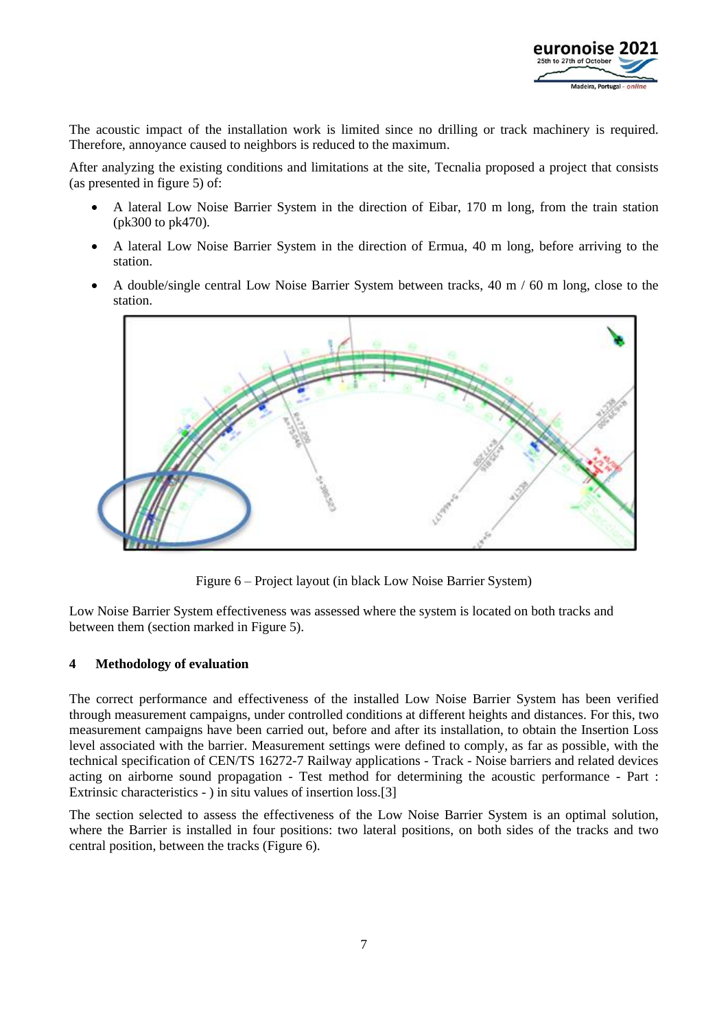

The acoustic impact of the installation work is limited since no drilling or track machinery is required. Therefore, annoyance caused to neighbors is reduced to the maximum.

After analyzing the existing conditions and limitations at the site, Tecnalia proposed a project that consists (as presented in figure 5) of:

- A lateral Low Noise Barrier System in the direction of Eibar, 170 m long, from the train station (pk300 to pk470).
- A lateral Low Noise Barrier System in the direction of Ermua, 40 m long, before arriving to the station.
- A double/single central Low Noise Barrier System between tracks,  $40 \text{ m}$  /  $60 \text{ m}$  long, close to the station.



Figure 6 – Project layout (in black Low Noise Barrier System)

Low Noise Barrier System effectiveness was assessed where the system is located on both tracks and between them (section marked in Figure 5).

#### **4 Methodology of evaluation**

The correct performance and effectiveness of the installed Low Noise Barrier System has been verified through measurement campaigns, under controlled conditions at different heights and distances. For this, two measurement campaigns have been carried out, before and after its installation, to obtain the Insertion Loss level associated with the barrier. Measurement settings were defined to comply, as far as possible, with the technical specification of CEN/TS 16272-7 Railway applications - Track - Noise barriers and related devices acting on airborne sound propagation - Test method for determining the acoustic performance - Part : Extrinsic characteristics - ) in situ values of insertion loss.[3]

The section selected to assess the effectiveness of the Low Noise Barrier System is an optimal solution, where the Barrier is installed in four positions: two lateral positions, on both sides of the tracks and two central position, between the tracks (Figure 6).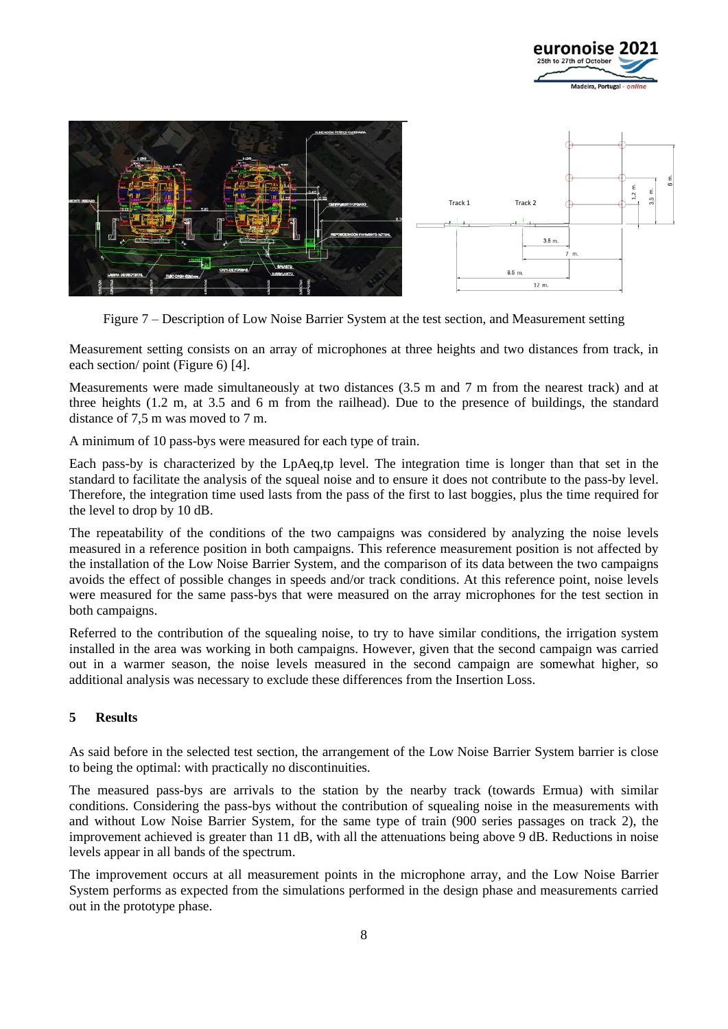



Figure 7 – Description of Low Noise Barrier System at the test section, and Measurement setting

Measurement setting consists on an array of microphones at three heights and two distances from track, in each section/ point (Figure 6) [4].

Measurements were made simultaneously at two distances (3.5 m and 7 m from the nearest track) and at three heights (1.2 m, at 3.5 and 6 m from the railhead). Due to the presence of buildings, the standard distance of 7,5 m was moved to 7 m.

A minimum of 10 pass-bys were measured for each type of train.

Each pass-by is characterized by the LpAeq,tp level. The integration time is longer than that set in the standard to facilitate the analysis of the squeal noise and to ensure it does not contribute to the pass-by level. Therefore, the integration time used lasts from the pass of the first to last boggies, plus the time required for the level to drop by 10 dB.

The repeatability of the conditions of the two campaigns was considered by analyzing the noise levels measured in a reference position in both campaigns. This reference measurement position is not affected by the installation of the Low Noise Barrier System, and the comparison of its data between the two campaigns avoids the effect of possible changes in speeds and/or track conditions. At this reference point, noise levels were measured for the same pass-bys that were measured on the array microphones for the test section in both campaigns.

Referred to the contribution of the squealing noise, to try to have similar conditions, the irrigation system installed in the area was working in both campaigns. However, given that the second campaign was carried out in a warmer season, the noise levels measured in the second campaign are somewhat higher, so additional analysis was necessary to exclude these differences from the Insertion Loss.

## **5 Results**

As said before in the selected test section, the arrangement of the Low Noise Barrier System barrier is close to being the optimal: with practically no discontinuities.

The measured pass-bys are arrivals to the station by the nearby track (towards Ermua) with similar conditions. Considering the pass-bys without the contribution of squealing noise in the measurements with and without Low Noise Barrier System, for the same type of train (900 series passages on track 2), the improvement achieved is greater than 11 dB, with all the attenuations being above 9 dB. Reductions in noise levels appear in all bands of the spectrum.

The improvement occurs at all measurement points in the microphone array, and the Low Noise Barrier System performs as expected from the simulations performed in the design phase and measurements carried out in the prototype phase.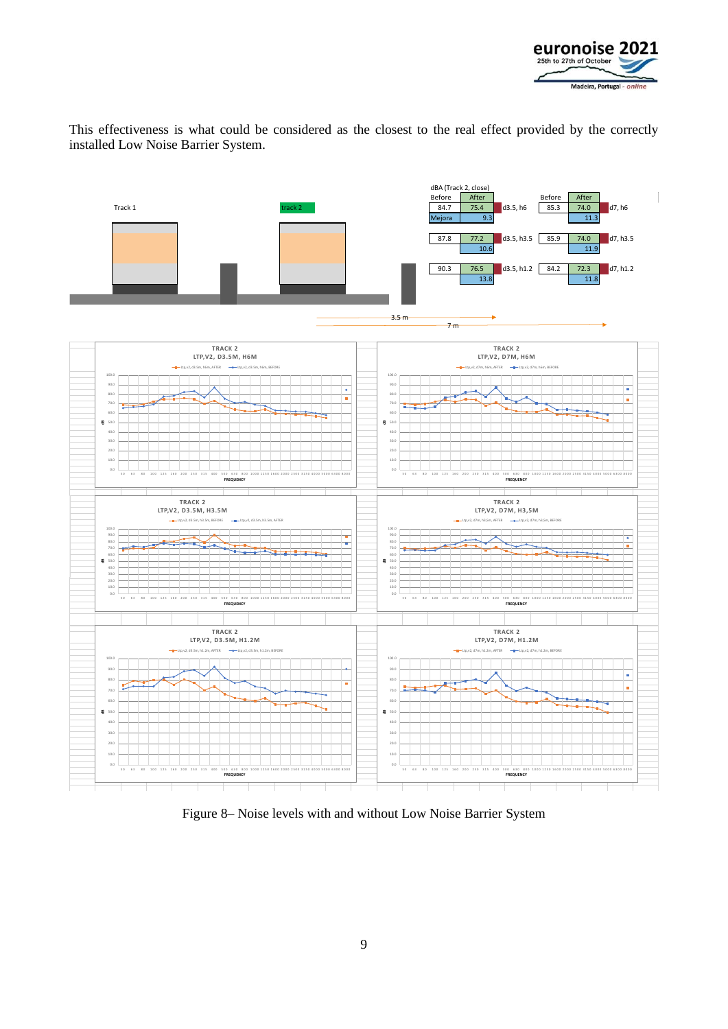

This effectiveness is what could be considered as the closest to the real effect provided by the correctly installed Low Noise Barrier System.



Figure 8– Noise levels with and without Low Noise Barrier System